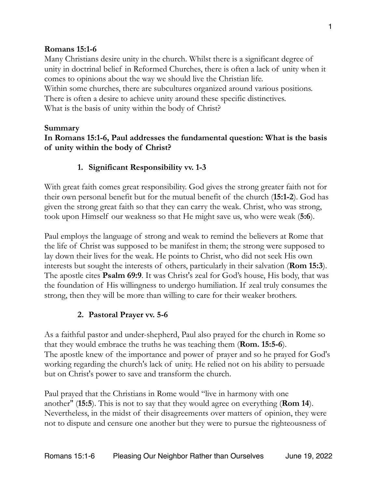### **Romans 15:1-6**

Many Christians desire unity in the church. Whilst there is a significant degree of unity in doctrinal belief in Reformed Churches, there is often a lack of unity when it comes to opinions about the way we should live the Christian life. Within some churches, there are subcultures organized around various positions. There is often a desire to achieve unity around these specific distinctives. What is the basis of unity within the body of Christ?

#### **Summary**

## **In Romans 15:1-6, Paul addresses the fundamental question: What is the basis of unity within the body of Christ?**

## **1. Significant Responsibility vv. 1-3**

With great faith comes great responsibility. God gives the strong greater faith not for their own personal benefit but for the mutual benefit of the church (**15:1-2**). God has given the strong great faith so that they can carry the weak. Christ, who was strong, took upon Himself our weakness so that He might save us, who were weak (**5:6**).

Paul employs the language of strong and weak to remind the believers at Rome that the life of Christ was supposed to be manifest in them; the strong were supposed to lay down their lives for the weak. He points to Christ, who did not seek His own interests but sought the interests of others, particularly in their salvation (**Rom 15:3**). The apostle cites **Psalm 69:9**. It was Christ's zeal for God's house, His body, that was the foundation of His willingness to undergo humiliation. If zeal truly consumes the strong, then they will be more than willing to care for their weaker brothers.

#### **2. Pastoral Prayer vv. 5-6**

As a faithful pastor and under-shepherd, Paul also prayed for the church in Rome so that they would embrace the truths he was teaching them (**Rom. 15:5-6**). The apostle knew of the importance and power of prayer and so he prayed for God's working regarding the church's lack of unity. He relied not on his ability to persuade but on Christ's power to save and transform the church.

Paul prayed that the Christians in Rome would "live in harmony with one another" (**15:5**). This is not to say that they would agree on everything (**Rom 14**). Nevertheless, in the midst of their disagreements over matters of opinion, they were not to dispute and censure one another but they were to pursue the righteousness of